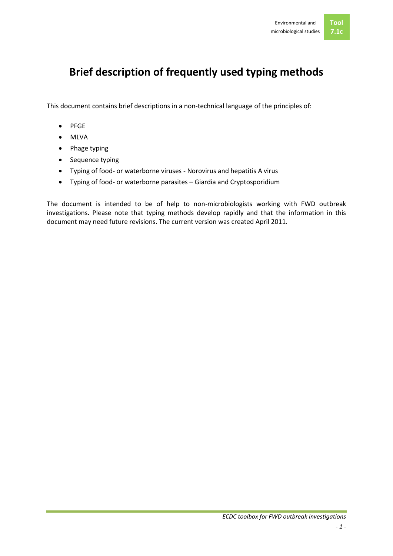# **Brief description of frequently used typing methods**

This document contains brief descriptions in a non-technical language of the principles of:

- PFGE
- MLVA
- Phage typing
- Sequence typing
- Typing of food- or waterborne viruses Norovirus and hepatitis A virus
- Typing of food- or waterborne parasites Giardia and Cryptosporidium

The document is intended to be of help to non-microbiologists working with FWD outbreak investigations. Please note that typing methods develop rapidly and that the information in this document may need future revisions. The current version was created April 2011.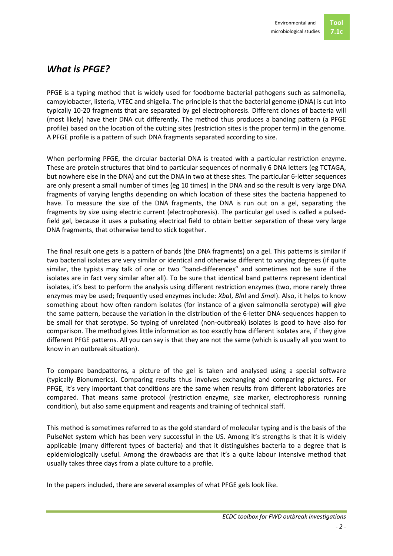# *What is PFGE?*

PFGE is a typing method that is widely used for foodborne bacterial pathogens such as salmonella, campylobacter, listeria, VTEC and shigella. The principle is that the bacterial genome (DNA) is cut into typically 10-20 fragments that are separated by gel electrophoresis. Different clones of bacteria will (most likely) have their DNA cut differently. The method thus produces a banding pattern (a PFGE profile) based on the location of the cutting sites (restriction sites is the proper term) in the genome. A PFGE profile is a pattern of such DNA fragments separated according to size.

When performing PFGE, the circular bacterial DNA is treated with a particular restriction enzyme. These are protein structures that bind to particular sequences of normally 6 DNA letters (eg TCTAGA, but nowhere else in the DNA) and cut the DNA in two at these sites. The particular 6-letter sequences are only present a small number of times (eg 10 times) in the DNA and so the result is very large DNA fragments of varying lengths depending on which location of these sites the bacteria happened to have. To measure the size of the DNA fragments, the DNA is run out on a gel, separating the fragments by size using electric current (electrophoresis). The particular gel used is called a pulsedfield gel, because it uses a pulsating electrical field to obtain better separation of these very large DNA fragments, that otherwise tend to stick together.

The final result one gets is a pattern of bands (the DNA fragments) on a gel. This patterns is similar if two bacterial isolates are very similar or identical and otherwise different to varying degrees (if quite similar, the typists may talk of one or two "band-differences" and sometimes not be sure if the isolates are in fact very similar after all). To be sure that identical band patterns represent identical isolates, it's best to perform the analysis using different restriction enzymes (two, more rarely three enzymes may be used; frequently used enzymes include: *Xba*I, *Bln*I and *Sma*I). Also, it helps to know something about how often random isolates (for instance of a given salmonella serotype) will give the same pattern, because the variation in the distribution of the 6-letter DNA-sequences happen to be small for that serotype. So typing of unrelated (non-outbreak) isolates is good to have also for comparison. The method gives little information as too exactly how different isolates are, if they give different PFGE patterns. All you can say is that they are not the same (which is usually all you want to know in an outbreak situation).

To compare bandpatterns, a picture of the gel is taken and analysed using a special software (typically Bionumerics). Comparing results thus involves exchanging and comparing pictures. For PFGE, it's very important that conditions are the same when results from different laboratories are compared. That means same protocol (restriction enzyme, size marker, electrophoresis running condition), but also same equipment and reagents and training of technical staff.

This method is sometimes referred to as the gold standard of molecular typing and is the basis of the PulseNet system which has been very successful in the US. Among it's strengths is that it is widely applicable (many different types of bacteria) and that it distinguishes bacteria to a degree that is epidemiologically useful. Among the drawbacks are that it's a quite labour intensive method that usually takes three days from a plate culture to a profile.

In the papers included, there are several examples of what PFGE gels look like.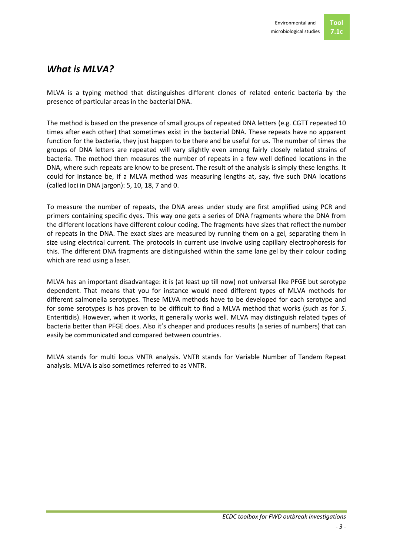

#### *What is MLVA?*

MLVA is a typing method that distinguishes different clones of related enteric bacteria by the presence of particular areas in the bacterial DNA.

The method is based on the presence of small groups of repeated DNA letters (e.g. CGTT repeated 10 times after each other) that sometimes exist in the bacterial DNA. These repeats have no apparent function for the bacteria, they just happen to be there and be useful for us. The number of times the groups of DNA letters are repeated will vary slightly even among fairly closely related strains of bacteria. The method then measures the number of repeats in a few well defined locations in the DNA, where such repeats are know to be present. The result of the analysis is simply these lengths. It could for instance be, if a MLVA method was measuring lengths at, say, five such DNA locations (called loci in DNA jargon): 5, 10, 18, 7 and 0.

To measure the number of repeats, the DNA areas under study are first amplified using PCR and primers containing specific dyes. This way one gets a series of DNA fragments where the DNA from the different locations have different colour coding. The fragments have sizes that reflect the number of repeats in the DNA. The exact sizes are measured by running them on a gel, separating them in size using electrical current. The protocols in current use involve using capillary electrophoresis for this. The different DNA fragments are distinguished within the same lane gel by their colour coding which are read using a laser.

MLVA has an important disadvantage: it is (at least up till now) not universal like PFGE but serotype dependent. That means that you for instance would need different types of MLVA methods for different salmonella serotypes. These MLVA methods have to be developed for each serotype and for some serotypes is has proven to be difficult to find a MLVA method that works (such as for *S*. Enteritidis). However, when it works, it generally works well. MLVA may distinguish related types of bacteria better than PFGE does. Also it's cheaper and produces results (a series of numbers) that can easily be communicated and compared between countries.

MLVA stands for multi locus VNTR analysis. VNTR stands for Variable Number of Tandem Repeat analysis. MLVA is also sometimes referred to as VNTR.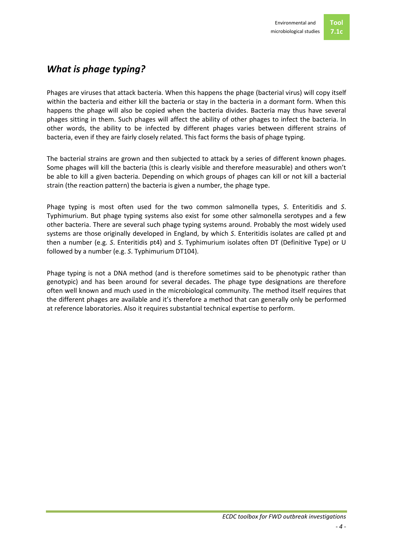# *What is phage typing?*

Phages are viruses that attack bacteria. When this happens the phage (bacterial virus) will copy itself within the bacteria and either kill the bacteria or stay in the bacteria in a dormant form. When this happens the phage will also be copied when the bacteria divides. Bacteria may thus have several phages sitting in them. Such phages will affect the ability of other phages to infect the bacteria. In other words, the ability to be infected by different phages varies between different strains of bacteria, even if they are fairly closely related. This fact forms the basis of phage typing.

The bacterial strains are grown and then subjected to attack by a series of different known phages. Some phages will kill the bacteria (this is clearly visible and therefore measurable) and others won't be able to kill a given bacteria. Depending on which groups of phages can kill or not kill a bacterial strain (the reaction pattern) the bacteria is given a number, the phage type.

Phage typing is most often used for the two common salmonella types, *S*. Enteritidis and *S*. Typhimurium. But phage typing systems also exist for some other salmonella serotypes and a few other bacteria. There are several such phage typing systems around. Probably the most widely used systems are those originally developed in England, by which *S*. Enteritidis isolates are called pt and then a number (e.g. *S*. Enteritidis pt4) and *S*. Typhimurium isolates often DT (Definitive Type) or U followed by a number (e.g. *S*. Typhimurium DT104).

Phage typing is not a DNA method (and is therefore sometimes said to be phenotypic rather than genotypic) and has been around for several decades. The phage type designations are therefore often well known and much used in the microbiological community. The method itself requires that the different phages are available and it's therefore a method that can generally only be performed at reference laboratories. Also it requires substantial technical expertise to perform.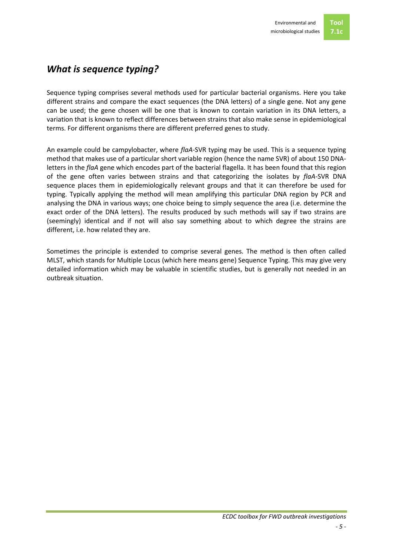# *What is sequence typing?*

Sequence typing comprises several methods used for particular bacterial organisms. Here you take different strains and compare the exact sequences (the DNA letters) of a single gene. Not any gene can be used; the gene chosen will be one that is known to contain variation in its DNA letters, a variation that is known to reflect differences between strains that also make sense in epidemiological terms. For different organisms there are different preferred genes to study.

An example could be campylobacter, where *flaA*-SVR typing may be used. This is a sequence typing method that makes use of a particular short variable region (hence the name SVR) of about 150 DNAletters in the *flaA* gene which encodes part of the bacterial flagella. It has been found that this region of the gene often varies between strains and that categorizing the isolates by *flaA*-SVR DNA sequence places them in epidemiologically relevant groups and that it can therefore be used for typing. Typically applying the method will mean amplifying this particular DNA region by PCR and analysing the DNA in various ways; one choice being to simply sequence the area (i.e. determine the exact order of the DNA letters). The results produced by such methods will say if two strains are (seemingly) identical and if not will also say something about to which degree the strains are different, i.e. how related they are.

Sometimes the principle is extended to comprise several genes. The method is then often called MLST, which stands for Multiple Locus (which here means gene) Sequence Typing. This may give very detailed information which may be valuable in scientific studies, but is generally not needed in an outbreak situation.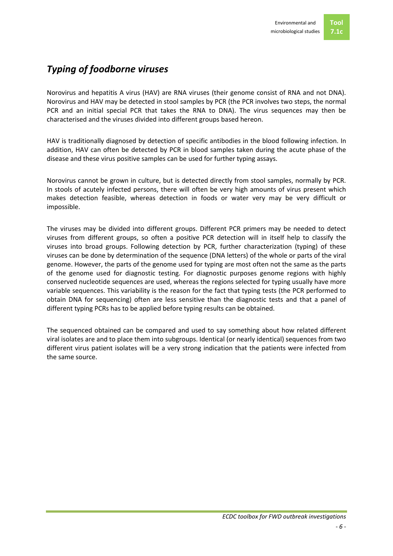#### *Typing of foodborne viruses*

Norovirus and hepatitis A virus (HAV) are RNA viruses (their genome consist of RNA and not DNA). Norovirus and HAV may be detected in stool samples by PCR (the PCR involves two steps, the normal PCR and an initial special PCR that takes the RNA to DNA). The virus sequences may then be characterised and the viruses divided into different groups based hereon.

HAV is traditionally diagnosed by detection of specific antibodies in the blood following infection. In addition, HAV can often be detected by PCR in blood samples taken during the acute phase of the disease and these virus positive samples can be used for further typing assays.

Norovirus cannot be grown in culture, but is detected directly from stool samples, normally by PCR. In stools of acutely infected persons, there will often be very high amounts of virus present which makes detection feasible, whereas detection in foods or water very may be very difficult or impossible.

The viruses may be divided into different groups. Different PCR primers may be needed to detect viruses from different groups, so often a positive PCR detection will in itself help to classify the viruses into broad groups. Following detection by PCR, further characterization (typing) of these viruses can be done by determination of the sequence (DNA letters) of the whole or parts of the viral genome. However, the parts of the genome used for typing are most often not the same as the parts of the genome used for diagnostic testing. For diagnostic purposes genome regions with highly conserved nucleotide sequences are used, whereas the regions selected for typing usually have more variable sequences. This variability is the reason for the fact that typing tests (the PCR performed to obtain DNA for sequencing) often are less sensitive than the diagnostic tests and that a panel of different typing PCRs has to be applied before typing results can be obtained.

The sequenced obtained can be compared and used to say something about how related different viral isolates are and to place them into subgroups. Identical (or nearly identical) sequences from two different virus patient isolates will be a very strong indication that the patients were infected from the same source.